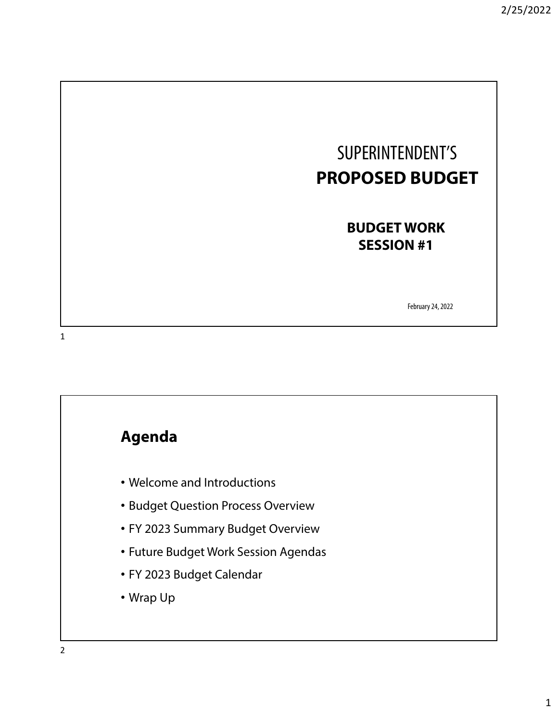# SUPERINTENDENT'S **PROPOSED BUDGET**

**BUDGET WORK SESSION #1**

February 24, 2022

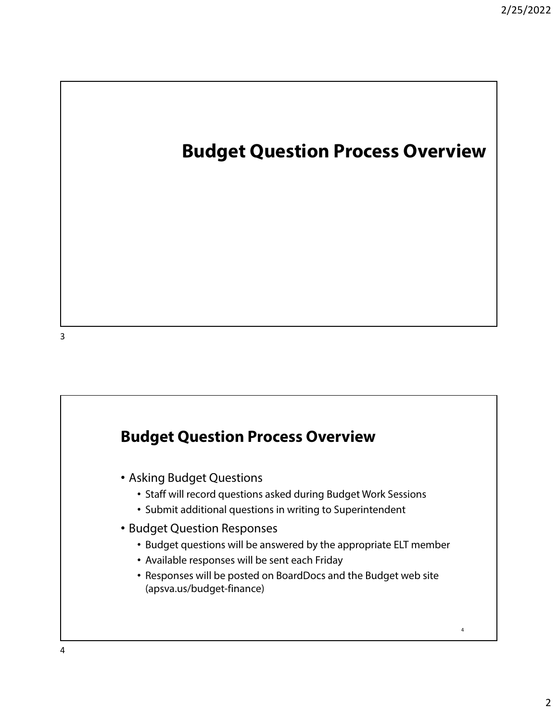## **Budget Question Process Overview**

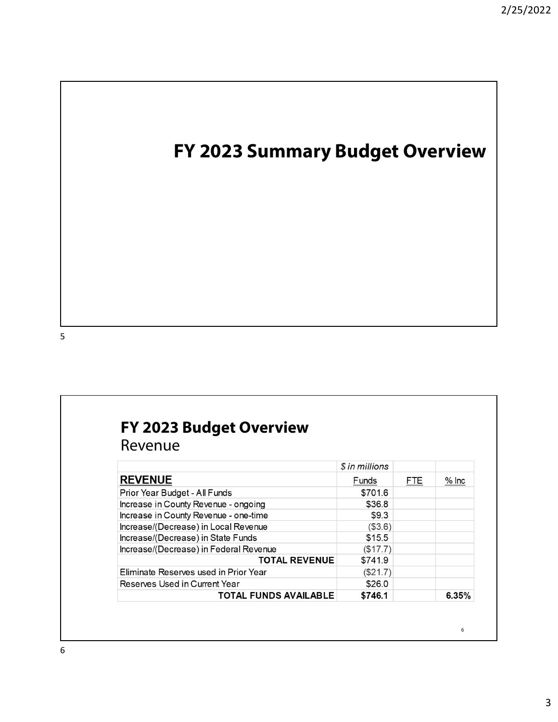# **FY 2023 Summary Budget Overview**

5

## **FY 2023 Budget Overview**

Revenue

|                                        | \$ in millions |            |         |
|----------------------------------------|----------------|------------|---------|
| <b>REVENUE</b>                         | Funds          | <b>FTE</b> | $%$ Inc |
| Prior Year Budget - All Funds          | \$701.6        |            |         |
| Increase in County Revenue - ongoing   | \$36.8         |            |         |
| Increase in County Revenue - one-time  | \$9.3          |            |         |
| Increase/(Decrease) in Local Revenue   | (\$3.6)        |            |         |
| Increase/(Decrease) in State Funds     | \$15.5         |            |         |
| Increase/(Decrease) in Federal Revenue | (\$17.7)       |            |         |
| <b>TOTAL REVENUE</b>                   | \$741.9        |            |         |
| Eliminate Reserves used in Prior Year  | (\$21.7)       |            |         |
| Reserves Used in Current Year          | \$26.0         |            |         |
| TOTAL FUNDS AVAILABLE                  | \$746.1        |            | 6.35%   |

6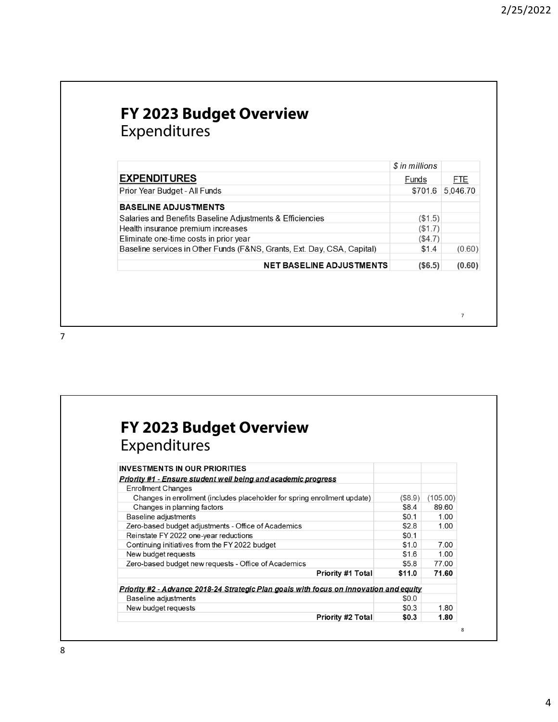#### **FY 2023 Budget Overview** Expenditures

|                                                                         | \$ in millions |          |
|-------------------------------------------------------------------------|----------------|----------|
| <b>EXPENDITURES</b>                                                     | Funds          |          |
| Prior Year Budget - All Funds                                           | \$701.6        | 5,046.70 |
| <b>BASELINE ADJUSTMENTS</b>                                             |                |          |
| Salaries and Benefits Baseline Adjustments & Efficiencies               | (\$1.5)        |          |
| Health insurance premium increases                                      | (\$1.7)        |          |
| Eliminate one-time costs in prior year                                  | (\$4.7)        |          |
| Baseline services in Other Funds (F&NS, Grants, Ext. Day, CSA, Capital) | \$1.4          | (0.60)   |
| <b>NET BASELINE ADJUSTMENTS</b>                                         | (S6.5)         | (0.60)   |

| <b>FY 2023 Budget Overview</b>                                                                 |         |          |
|------------------------------------------------------------------------------------------------|---------|----------|
| Expenditures                                                                                   |         |          |
| <b>INVESTMENTS IN OUR PRIORITIES</b>                                                           |         |          |
| Priority #1 - Ensure student well being and academic progress                                  |         |          |
| <b>Enrollment Changes</b>                                                                      |         |          |
| Changes in enrollment (includes placeholder for spring enrollment update)                      | (\$8.9) | (105.00) |
| Changes in planning factors                                                                    | \$8.4   | 89.60    |
| Baseline adjustments                                                                           | \$0.1   | 1.00     |
| Zero-based budget adjustments - Office of Academics                                            | \$2.8   | 1.00     |
| Reinstate FY 2022 one-year reductions                                                          | \$0.1   |          |
| Continuing initiatives from the FY 2022 budget                                                 | \$1.0   | 7.00     |
| New budget requests                                                                            | \$1.6   | 1.00     |
| Zero-based budget new requests - Office of Academics                                           | \$5.8   | 77.00    |
| <b>Priority #1 Total</b>                                                                       | \$11.0  | 71.60    |
| <u> Priority #2 - Advance 2018-24 Strategic Plan goals with focus on innovation and equity</u> |         |          |
| Baseline adjustments                                                                           | \$0.0   |          |
| New budget requests                                                                            | \$0.3   | 1.80     |
| <b>Priority #2 Total</b>                                                                       | \$0.3   | 1.80     |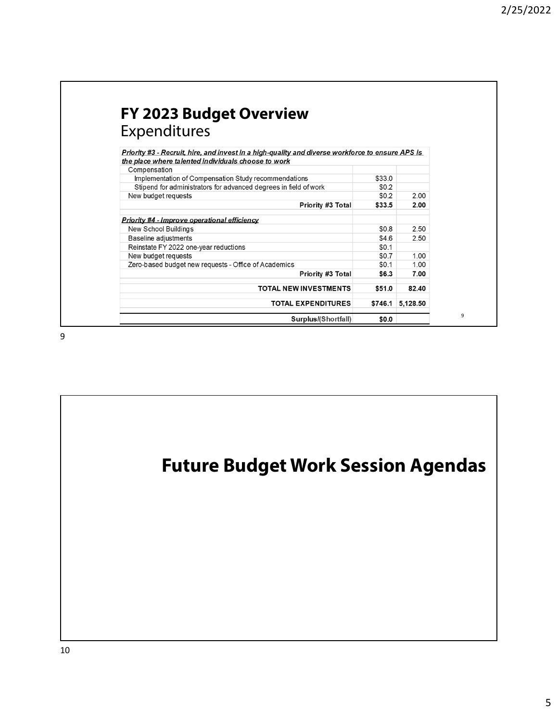| FY 2023 Budget Overview                                                                                 |         |          |
|---------------------------------------------------------------------------------------------------------|---------|----------|
| Expenditures                                                                                            |         |          |
| <u>Priority #3 - Recruit, hire, and invest in a high-quality and diverse workforce to ensure APS is</u> |         |          |
| the place where talented individuals choose to work                                                     |         |          |
| Compensation                                                                                            |         |          |
| Implementation of Compensation Study recommendations                                                    | \$33.0  |          |
| Stipend for administrators for advanced degrees in field of work                                        | \$0.2   |          |
| New budget requests                                                                                     | \$0.2   | 2.00     |
| Priority #3 Total                                                                                       | \$33.5  | 2.00     |
| Priority #4 - Improve operational efficiency                                                            |         |          |
| New School Buildings                                                                                    | \$0.8   | 2.50     |
| Baseline adjustments                                                                                    | \$4.6   | 2.50     |
| Reinstate FY 2022 one-year reductions                                                                   | \$0.1   |          |
| New budget requests                                                                                     | \$0.7   | 1.00     |
| Zero-based budget new requests - Office of Academics                                                    | \$0.1   | 1.00     |
| Priority #3 Total                                                                                       | \$6.3   | 7.00     |
| <b>TOTAL NEW INVESTMENTS</b>                                                                            | \$51.0  | 82.40    |
| <b>TOTAL EXPENDITURES</b>                                                                               | \$746.1 | 5,128.50 |
|                                                                                                         |         |          |
| Surplus/(Shortfall)                                                                                     | \$0.0   |          |

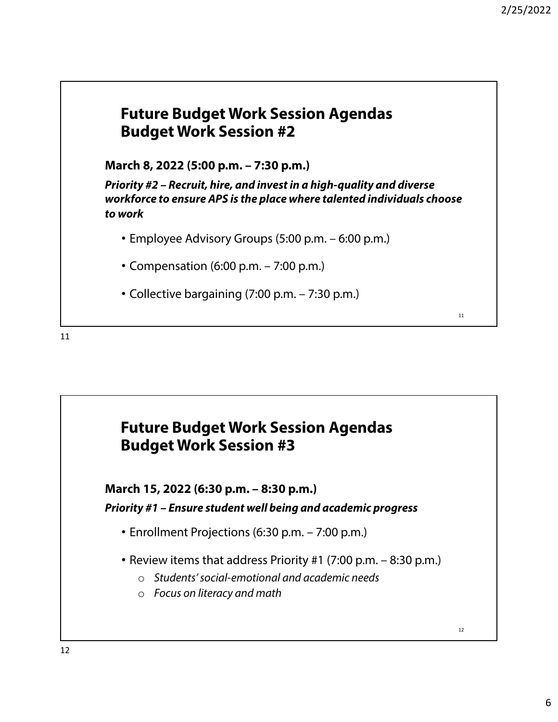#### **Future Budget Work Session Agendas Budget Work Session #2**

**March 8, 2022 (5:00 p.m. – 7:30 p.m.)**

**Priority #2 – Recruit, hire, and invest in a high-quality and diverse workforce to ensure APS is the place where talented individuals choose to work** 

- Employee Advisory Groups (5:00 p.m. 6:00 p.m.)
- Compensation (6:00 p.m. 7:00 p.m.)
- Collective bargaining (7:00 p.m. 7:30 p.m.)

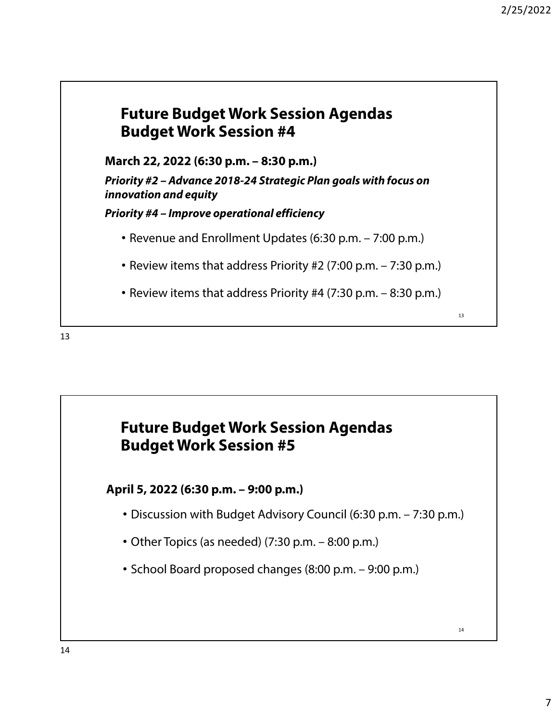14



**March 22, 2022 (6:30 p.m. – 8:30 p.m.)**

**Priority #2 – Advance 2018-24 Strategic Plan goals with focus on innovation and equity**

**Priority #4 – Improve operational efficiency**

- Revenue and Enrollment Updates (6:30 p.m. 7:00 p.m.)
- Review items that address Priority #2 (7:00 p.m. 7:30 p.m.)
- Review items that address Priority #4 (7:30 p.m. 8:30 p.m.)

13



#### **April 5, 2022 (6:30 p.m. – 9:00 p.m.)**

- Discussion with Budget Advisory Council (6:30 p.m. 7:30 p.m.)
- Other Topics (as needed) (7:30 p.m. 8:00 p.m.)
- School Board proposed changes (8:00 p.m. 9:00 p.m.)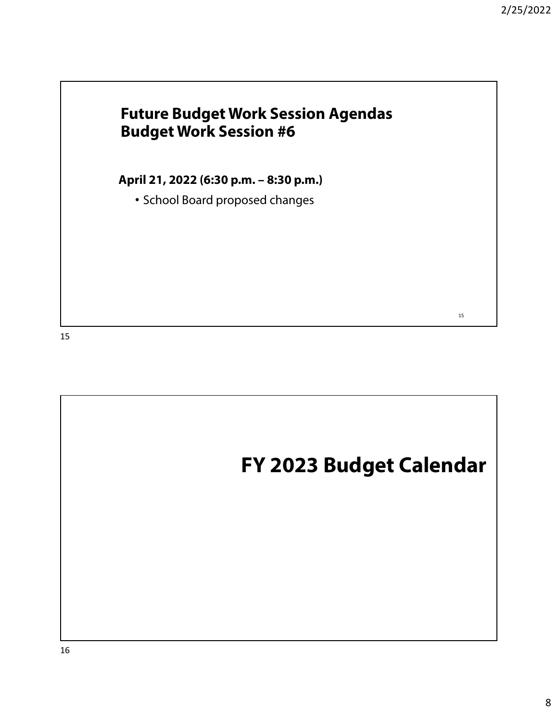### **Future Budget Work Session Agendas Budget Work Session #6**

**April 21, 2022 (6:30 p.m. – 8:30 p.m.)** 

• School Board proposed changes